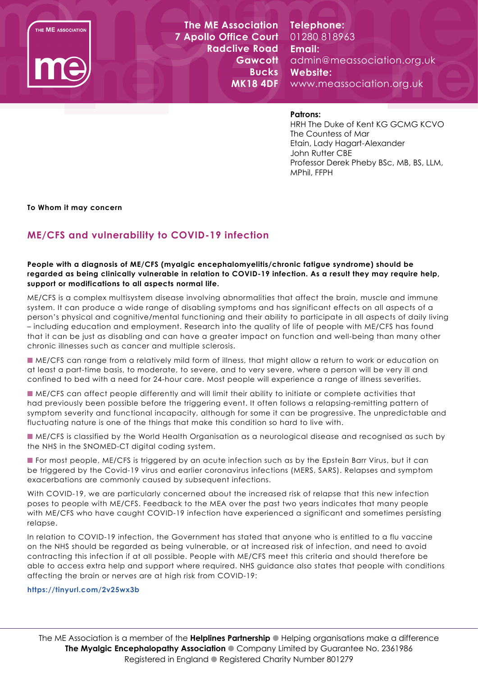THE ME ASSOCIATION



**The ME Association 7 Apollo Office Court Radclive Road Gawcott Bucks MK18 4DF**

**Telephone:**  01280 818963 **Email:**  admin@meassociation.org.uk **Website:**  www.meassociation.org.uk

# **Patrons:**

HRH The Duke of Kent KG GCMG KCVO The Countess of Mar Etain, Lady Hagart-Alexander John Rutter CBE Professor Derek Pheby BSc, MB, BS, LLM, MPhil, FFPH

**To Whom it may concern**

# **ME/CFS and vulnerability to COVID-19 infection**

## **People with a diagnosis of ME/CFS (myalgic encephalomyelitis/chronic fatigue syndrome) should be regarded as being clinically vulnerable in relation to COVID-19 infection. As a result they may require help, support or modifications to all aspects normal life.**

ME/CFS is a complex multisystem disease involving abnormalities that affect the brain, muscle and immune system. It can produce a wide range of disabling symptoms and has significant effects on all aspects of a person's physical and cognitive/mental functioning and their ability to participate in all aspects of daily living – including education and employment. Research into the quality of life of people with ME/CFS has found that it can be just as disabling and can have a greater impact on function and well-being than many other chronic illnesses such as cancer and multiple sclerosis.

n ME/CFS can range from a relatively mild form of illness, that might allow a return to work or education on at least a part-time basis, to moderate, to severe, and to very severe, where a person will be very ill and confined to bed with a need for 24-hour care. Most people will experience a range of illness severities.

n ME/CFS can affect people differently and will limit their ability to initiate or complete activities that had previously been possible before the triggering event. It often follows a relapsing-remitting pattern of symptom severity and functional incapacity, although for some it can be progressive. The unpredictable and fluctuating nature is one of the things that make this condition so hard to live with.

n ME/CFS is classified by the World Health Organisation as a neurological disease and recognised as such by the NHS in the SNOMED-CT digital coding system.

**n** For most people, ME/CFS is triggered by an acute infection such as by the Epstein Barr Virus, but it can be triggered by the Covid-19 virus and earlier coronavirus infections (MERS, SARS). Relapses and symptom exacerbations are commonly caused by subsequent infections.

With COVID-19, we are particularly concerned about the increased risk of relapse that this new infection poses to people with ME/CFS. Feedback to the MEA over the past two years indicates that many people with ME/CFS who have caught COVID-19 infection have experienced a significant and sometimes persisting relapse.

In relation to COVID-19 infection, the Government has stated that anyone who is entitled to a flu vaccine on the NHS should be regarded as being vulnerable, or at increased risk of infection, and need to avoid contracting this infection if at all possible. People with ME/CFS meet this criteria and should therefore be able to access extra help and support where required. NHS guidance also states that people with conditions affecting the brain or nerves are at high risk from COVID-19:

#### **https://tinyurl.com/2v25wx3b**

The ME Association is a member of the **Helplines Partnership** I Helping organisations make a difference **The Myalgic Encephalopathy Association** Company Limited by Guarantee No. 2361986 Registered in England • Registered Charity Number 801279